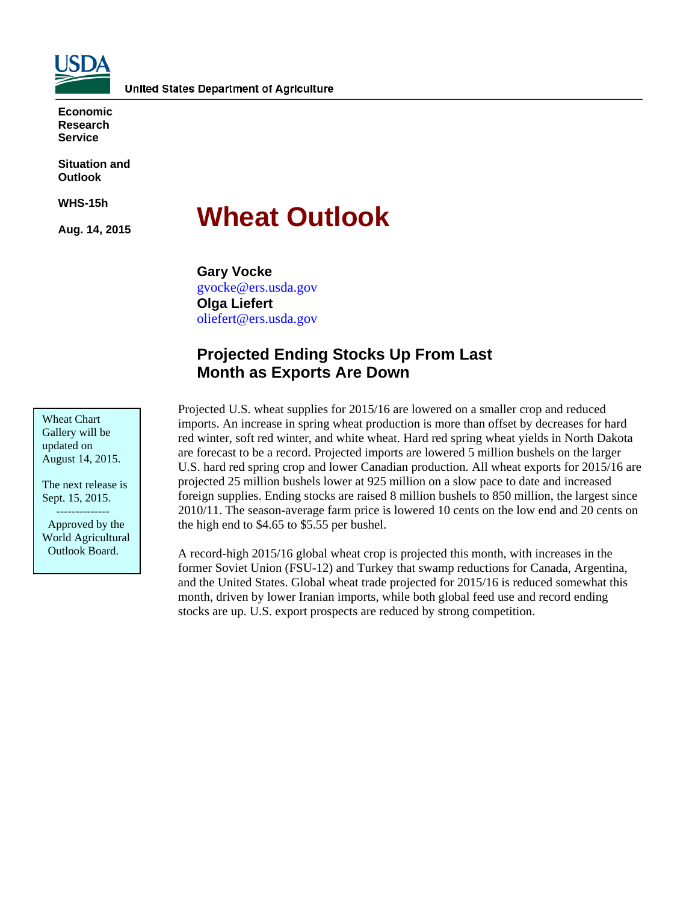

**Economic Research Service** 

**Situation and Outlook** 

**WHS-15h** 

**Aug. 14, 2015** 

# **Wheat Outlook**

**Gary Vocke**  gvocke@ers.usda.gov **Olga Liefert**  oliefert@ers.usda.gov

## **Projected Ending Stocks Up From Last Month as Exports Are Down**

Wheat Chart Gallery will be updated on August 14, 2015.

The next release is Sept. 15, 2015.

 -------------- Approved by the World Agricultural Outlook Board.

Projected U.S. wheat supplies for 2015/16 are lowered on a smaller crop and reduced imports. An increase in spring wheat production is more than offset by decreases for hard red winter, soft red winter, and white wheat. Hard red spring wheat yields in North Dakota are forecast to be a record. Projected imports are lowered 5 million bushels on the larger U.S. hard red spring crop and lower Canadian production. All wheat exports for 2015/16 are projected 25 million bushels lower at 925 million on a slow pace to date and increased foreign supplies. Ending stocks are raised 8 million bushels to 850 million, the largest since 2010/11. The season-average farm price is lowered 10 cents on the low end and 20 cents on the high end to \$4.65 to \$5.55 per bushel.

A record-high 2015/16 global wheat crop is projected this month, with increases in the former Soviet Union (FSU-12) and Turkey that swamp reductions for Canada, Argentina, and the United States. Global wheat trade projected for 2015/16 is reduced somewhat this month, driven by lower Iranian imports, while both global feed use and record ending stocks are up. U.S. export prospects are reduced by strong competition.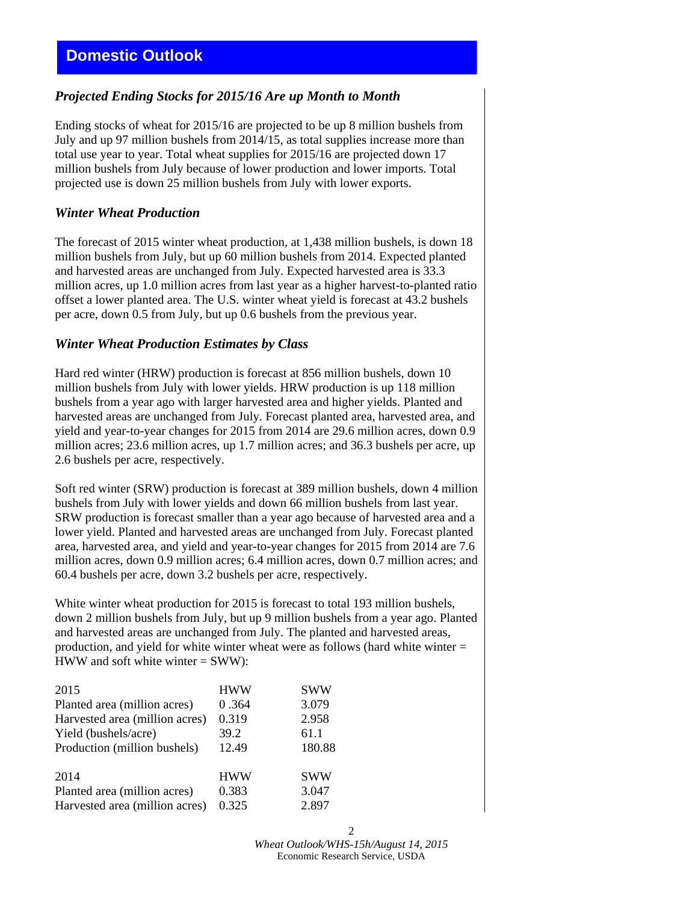## *Projected Ending Stocks for 2015/16 Are up Month to Month*

Ending stocks of wheat for 2015/16 are projected to be up 8 million bushels from July and up 97 million bushels from 2014/15, as total supplies increase more than total use year to year. Total wheat supplies for 2015/16 are projected down 17 million bushels from July because of lower production and lower imports. Total projected use is down 25 million bushels from July with lower exports.

### *Winter Wheat Production*

The forecast of 2015 winter wheat production, at 1,438 million bushels, is down 18 million bushels from July, but up 60 million bushels from 2014. Expected planted and harvested areas are unchanged from July. Expected harvested area is 33.3 million acres, up 1.0 million acres from last year as a higher harvest-to-planted ratio offset a lower planted area. The U.S. winter wheat yield is forecast at 43.2 bushels per acre, down 0.5 from July, but up 0.6 bushels from the previous year.

### *Winter Wheat Production Estimates by Class*

Hard red winter (HRW) production is forecast at 856 million bushels, down 10 million bushels from July with lower yields. HRW production is up 118 million bushels from a year ago with larger harvested area and higher yields. Planted and harvested areas are unchanged from July. Forecast planted area, harvested area, and yield and year-to-year changes for 2015 from 2014 are 29.6 million acres, down 0.9 million acres; 23.6 million acres, up 1.7 million acres; and 36.3 bushels per acre, up 2.6 bushels per acre, respectively.

Soft red winter (SRW) production is forecast at 389 million bushels, down 4 million bushels from July with lower yields and down 66 million bushels from last year. SRW production is forecast smaller than a year ago because of harvested area and a lower yield. Planted and harvested areas are unchanged from July. Forecast planted area, harvested area, and yield and year-to-year changes for 2015 from 2014 are 7.6 million acres, down 0.9 million acres; 6.4 million acres, down 0.7 million acres; and 60.4 bushels per acre, down 3.2 bushels per acre, respectively.

White winter wheat production for 2015 is forecast to total 193 million bushels, down 2 million bushels from July, but up 9 million bushels from a year ago. Planted and harvested areas are unchanged from July. The planted and harvested areas, production, and yield for white winter wheat were as follows (hard white winter = HWW and soft white winter  $=$  SWW):

| 2015                           | <b>HWW</b> | <b>SWW</b> |
|--------------------------------|------------|------------|
| Planted area (million acres)   | 0.364      | 3.079      |
| Harvested area (million acres) | 0.319      | 2.958      |
| Yield (bushels/acre)           | 39.2       | 61.1       |
| Production (million bushels)   | 12.49      | 180.88     |
| 2014                           | <b>HWW</b> | <b>SWW</b> |
| Planted area (million acres)   | 0.383      | 3.047      |
| Harvested area (million acres) | 0.325      | 2.897      |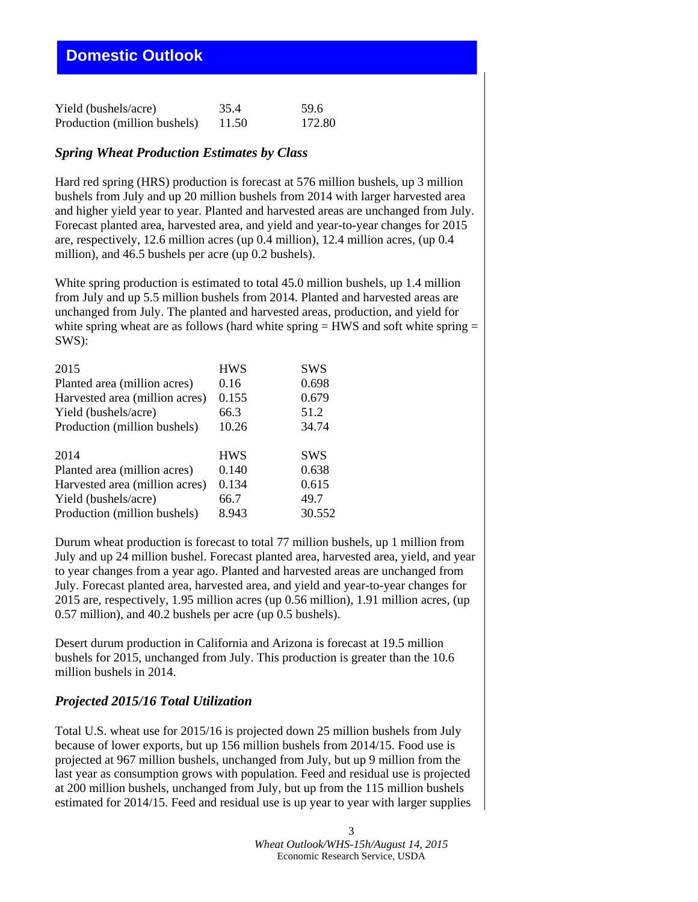## **Domestic Outlook**

| Yield (bushels/acre)         | 35.4  | 59.6   |
|------------------------------|-------|--------|
| Production (million bushels) | 11.50 | 172.80 |

#### *Spring Wheat Production Estimates by Class*

Hard red spring (HRS) production is forecast at 576 million bushels, up 3 million bushels from July and up 20 million bushels from 2014 with larger harvested area and higher yield year to year. Planted and harvested areas are unchanged from July. Forecast planted area, harvested area, and yield and year-to-year changes for 2015 are, respectively, 12.6 million acres (up 0.4 million), 12.4 million acres, (up 0.4 million), and 46.5 bushels per acre (up 0.2 bushels).

White spring production is estimated to total 45.0 million bushels, up 1.4 million from July and up 5.5 million bushels from 2014. Planted and harvested areas are unchanged from July. The planted and harvested areas, production, and yield for white spring wheat are as follows (hard white spring  $=$  HWS and soft white spring  $=$ SWS):

| 2015                           | <b>HWS</b> | SWS        |
|--------------------------------|------------|------------|
| Planted area (million acres)   | 0.16       | 0.698      |
| Harvested area (million acres) | 0.155      | 0.679      |
| Yield (bushels/acre)           | 66.3       | 51.2       |
| Production (million bushels)   | 10.26      | 34.74      |
|                                |            |            |
| 2014                           | <b>HWS</b> | <b>SWS</b> |
| Planted area (million acres)   | 0.140      | 0.638      |
| Harvested area (million acres) | 0.134      | 0.615      |
| Yield (bushels/acre)           | 66.7       | 49.7       |
| Production (million bushels)   | 8.943      | 30.552     |

Durum wheat production is forecast to total 77 million bushels, up 1 million from July and up 24 million bushel. Forecast planted area, harvested area, yield, and year to year changes from a year ago. Planted and harvested areas are unchanged from July. Forecast planted area, harvested area, and yield and year-to-year changes for 2015 are, respectively, 1.95 million acres (up 0.56 million), 1.91 million acres, (up 0.57 million), and 40.2 bushels per acre (up 0.5 bushels).

Desert durum production in California and Arizona is forecast at 19.5 million bushels for 2015, unchanged from July. This production is greater than the 10.6 million bushels in 2014.

#### *Projected 2015/16 Total Utilization*

Total U.S. wheat use for 2015/16 is projected down 25 million bushels from July because of lower exports, but up 156 million bushels from 2014/15. Food use is projected at 967 million bushels, unchanged from July, but up 9 million from the last year as consumption grows with population. Feed and residual use is projected at 200 million bushels, unchanged from July, but up from the 115 million bushels estimated for 2014/15. Feed and residual use is up year to year with larger supplies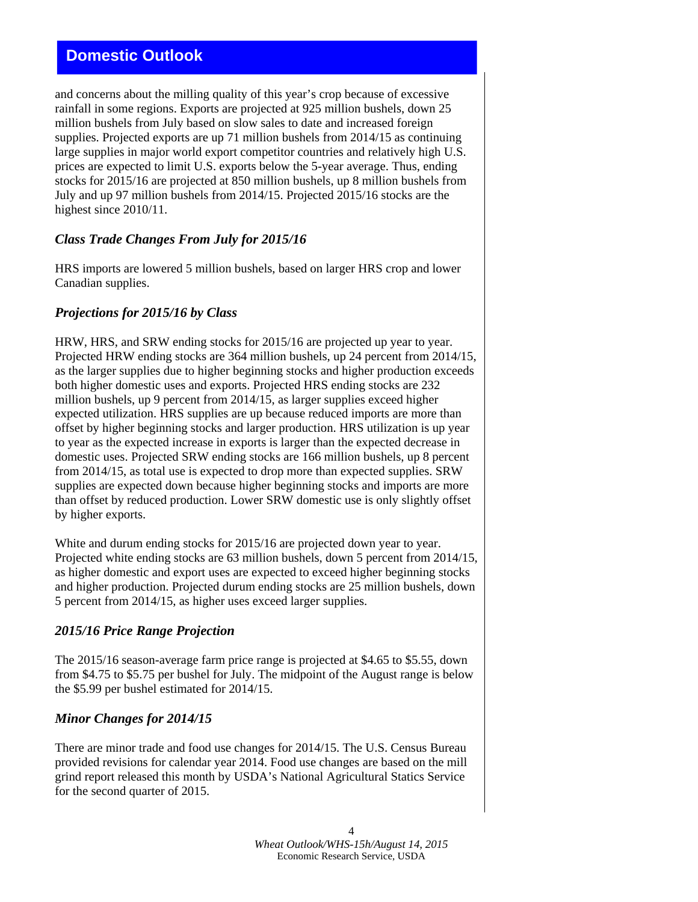## **Domestic Outlook**

and concerns about the milling quality of this year's crop because of excessive rainfall in some regions. Exports are projected at 925 million bushels, down 25 million bushels from July based on slow sales to date and increased foreign supplies. Projected exports are up 71 million bushels from 2014/15 as continuing large supplies in major world export competitor countries and relatively high U.S. prices are expected to limit U.S. exports below the 5-year average. Thus, ending stocks for 2015/16 are projected at 850 million bushels, up 8 million bushels from July and up 97 million bushels from 2014/15. Projected 2015/16 stocks are the highest since 2010/11.

### *Class Trade Changes From July for 2015/16*

HRS imports are lowered 5 million bushels, based on larger HRS crop and lower Canadian supplies.

### *Projections for 2015/16 by Class*

HRW, HRS, and SRW ending stocks for 2015/16 are projected up year to year. Projected HRW ending stocks are 364 million bushels, up 24 percent from 2014/15, as the larger supplies due to higher beginning stocks and higher production exceeds both higher domestic uses and exports. Projected HRS ending stocks are 232 million bushels, up 9 percent from 2014/15, as larger supplies exceed higher expected utilization. HRS supplies are up because reduced imports are more than offset by higher beginning stocks and larger production. HRS utilization is up year to year as the expected increase in exports is larger than the expected decrease in domestic uses. Projected SRW ending stocks are 166 million bushels, up 8 percent from 2014/15, as total use is expected to drop more than expected supplies. SRW supplies are expected down because higher beginning stocks and imports are more than offset by reduced production. Lower SRW domestic use is only slightly offset by higher exports.

White and durum ending stocks for 2015/16 are projected down year to year. Projected white ending stocks are 63 million bushels, down 5 percent from 2014/15, as higher domestic and export uses are expected to exceed higher beginning stocks and higher production. Projected durum ending stocks are 25 million bushels, down 5 percent from 2014/15, as higher uses exceed larger supplies.

#### *2015/16 Price Range Projection*

The 2015/16 season-average farm price range is projected at \$4.65 to \$5.55, down from \$4.75 to \$5.75 per bushel for July. The midpoint of the August range is below the \$5.99 per bushel estimated for 2014/15.

### *Minor Changes for 2014/15*

There are minor trade and food use changes for 2014/15. The U.S. Census Bureau provided revisions for calendar year 2014. Food use changes are based on the mill grind report released this month by USDA's National Agricultural Statics Service for the second quarter of 2015.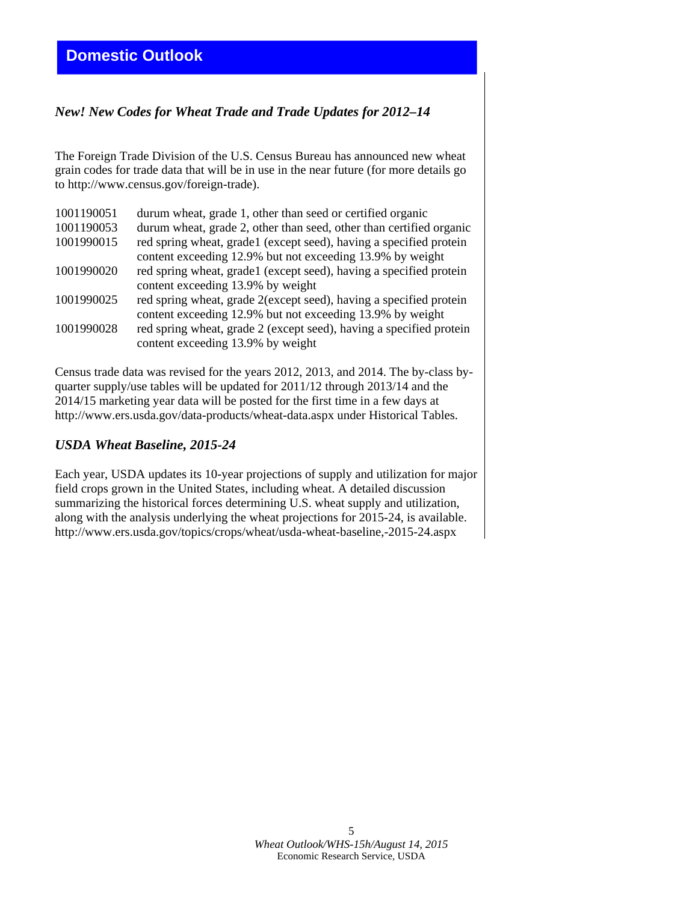## *New! New Codes for Wheat Trade and Trade Updates for 2012–14*

The Foreign Trade Division of the U.S. Census Bureau has announced new wheat grain codes for trade data that will be in use in the near future (for more details go to http://www.census.gov/foreign-trade).

| 1001190051 | durum wheat, grade 1, other than seed or certified organic                                               |
|------------|----------------------------------------------------------------------------------------------------------|
| 1001190053 | durum wheat, grade 2, other than seed, other than certified organic                                      |
| 1001990015 | red spring wheat, grade1 (except seed), having a specified protein                                       |
|            | content exceeding 12.9% but not exceeding 13.9% by weight                                                |
| 1001990020 | red spring wheat, grade1 (except seed), having a specified protein                                       |
|            | content exceeding 13.9% by weight                                                                        |
| 1001990025 | red spring wheat, grade 2(except seed), having a specified protein                                       |
|            | content exceeding 12.9% but not exceeding 13.9% by weight                                                |
| 1001990028 | red spring wheat, grade 2 (except seed), having a specified protein<br>content exceeding 13.9% by weight |
|            |                                                                                                          |

Census trade data was revised for the years 2012, 2013, and 2014. The by-class byquarter supply/use tables will be updated for 2011/12 through 2013/14 and the 2014/15 marketing year data will be posted for the first time in a few days at http://www.ers.usda.gov/data-products/wheat-data.aspx under Historical Tables.

### *USDA Wheat Baseline, 2015-24*

Each year, USDA updates its 10-year projections of supply and utilization for major field crops grown in the United States, including wheat. A detailed discussion summarizing the historical forces determining U.S. wheat supply and utilization, along with the analysis underlying the wheat projections for 2015-24, is available. http://www.ers.usda.gov/topics/crops/wheat/usda-wheat-baseline,-2015-24.aspx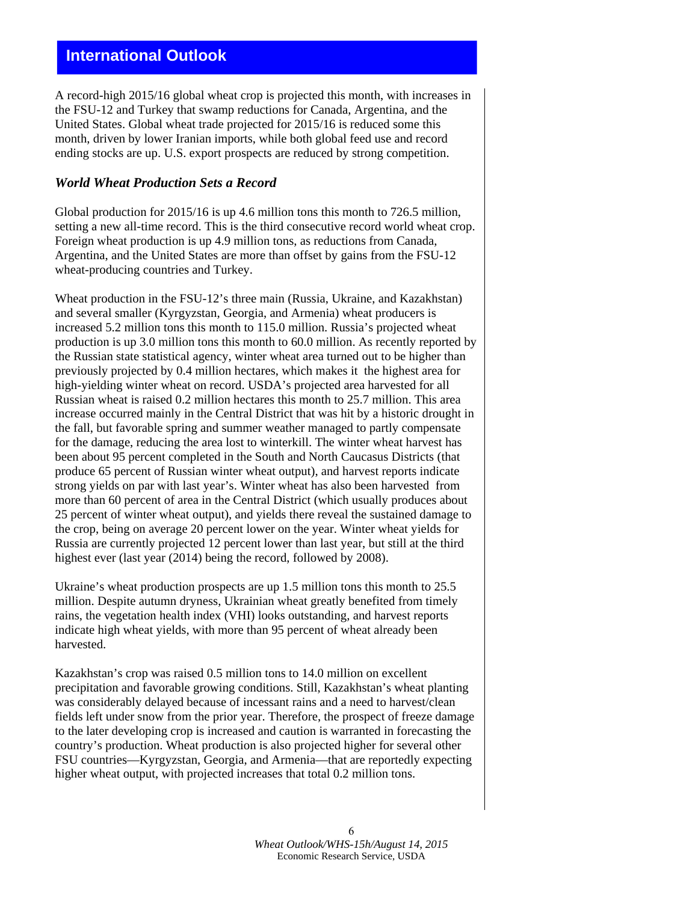A record-high 2015/16 global wheat crop is projected this month, with increases in the FSU-12 and Turkey that swamp reductions for Canada, Argentina, and the United States. Global wheat trade projected for 2015/16 is reduced some this month, driven by lower Iranian imports, while both global feed use and record ending stocks are up. U.S. export prospects are reduced by strong competition.

#### *World Wheat Production Sets a Record*

Global production for 2015/16 is up 4.6 million tons this month to 726.5 million, setting a new all-time record. This is the third consecutive record world wheat crop. Foreign wheat production is up 4.9 million tons, as reductions from Canada, Argentina, and the United States are more than offset by gains from the FSU-12 wheat-producing countries and Turkey.

Wheat production in the FSU-12's three main (Russia, Ukraine, and Kazakhstan) and several smaller (Kyrgyzstan, Georgia, and Armenia) wheat producers is increased 5.2 million tons this month to 115.0 million. Russia's projected wheat production is up 3.0 million tons this month to 60.0 million. As recently reported by the Russian state statistical agency, winter wheat area turned out to be higher than previously projected by 0.4 million hectares, which makes it the highest area for high-yielding winter wheat on record. USDA's projected area harvested for all Russian wheat is raised 0.2 million hectares this month to 25.7 million. This area increase occurred mainly in the Central District that was hit by a historic drought in the fall, but favorable spring and summer weather managed to partly compensate for the damage, reducing the area lost to winterkill. The winter wheat harvest has been about 95 percent completed in the South and North Caucasus Districts (that produce 65 percent of Russian winter wheat output), and harvest reports indicate strong yields on par with last year's. Winter wheat has also been harvested from more than 60 percent of area in the Central District (which usually produces about 25 percent of winter wheat output), and yields there reveal the sustained damage to the crop, being on average 20 percent lower on the year. Winter wheat yields for Russia are currently projected 12 percent lower than last year, but still at the third highest ever (last year (2014) being the record, followed by 2008).

Ukraine's wheat production prospects are up 1.5 million tons this month to 25.5 million. Despite autumn dryness, Ukrainian wheat greatly benefited from timely rains, the vegetation health index (VHI) looks outstanding, and harvest reports indicate high wheat yields, with more than 95 percent of wheat already been harvested.

Kazakhstan's crop was raised 0.5 million tons to 14.0 million on excellent precipitation and favorable growing conditions. Still, Kazakhstan's wheat planting was considerably delayed because of incessant rains and a need to harvest/clean fields left under snow from the prior year. Therefore, the prospect of freeze damage to the later developing crop is increased and caution is warranted in forecasting the country's production. Wheat production is also projected higher for several other FSU countries—Kyrgyzstan, Georgia, and Armenia—that are reportedly expecting higher wheat output, with projected increases that total 0.2 million tons.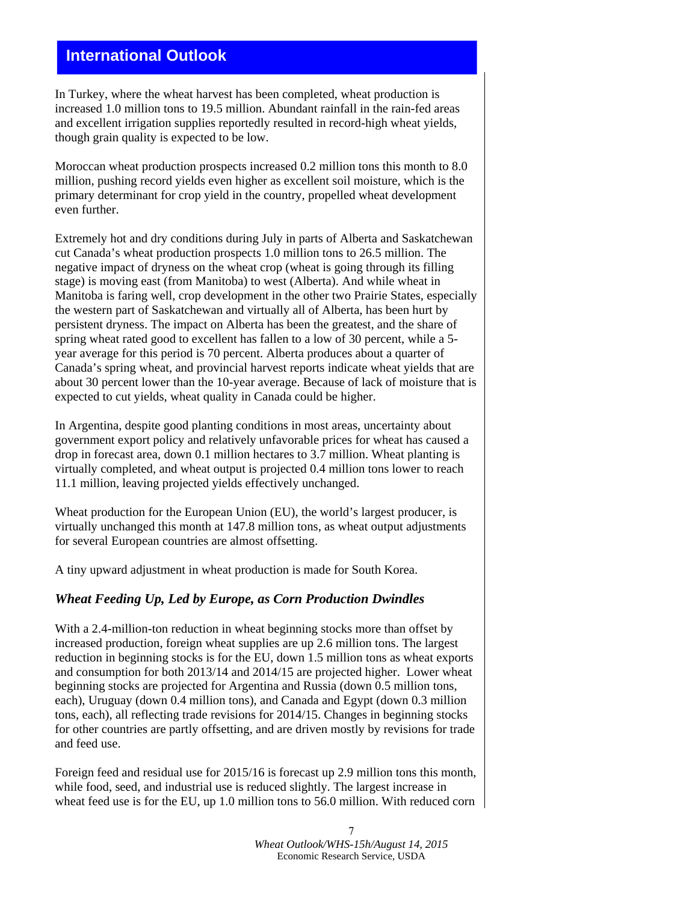In Turkey, where the wheat harvest has been completed, wheat production is increased 1.0 million tons to 19.5 million. Abundant rainfall in the rain-fed areas and excellent irrigation supplies reportedly resulted in record-high wheat yields, though grain quality is expected to be low.

Moroccan wheat production prospects increased 0.2 million tons this month to 8.0 million, pushing record yields even higher as excellent soil moisture, which is the primary determinant for crop yield in the country, propelled wheat development even further.

Extremely hot and dry conditions during July in parts of Alberta and Saskatchewan cut Canada's wheat production prospects 1.0 million tons to 26.5 million. The negative impact of dryness on the wheat crop (wheat is going through its filling stage) is moving east (from Manitoba) to west (Alberta). And while wheat in Manitoba is faring well, crop development in the other two Prairie States, especially the western part of Saskatchewan and virtually all of Alberta, has been hurt by persistent dryness. The impact on Alberta has been the greatest, and the share of spring wheat rated good to excellent has fallen to a low of 30 percent, while a 5 year average for this period is 70 percent. Alberta produces about a quarter of Canada's spring wheat, and provincial harvest reports indicate wheat yields that are about 30 percent lower than the 10-year average. Because of lack of moisture that is expected to cut yields, wheat quality in Canada could be higher.

In Argentina, despite good planting conditions in most areas, uncertainty about government export policy and relatively unfavorable prices for wheat has caused a drop in forecast area, down 0.1 million hectares to 3.7 million. Wheat planting is virtually completed, and wheat output is projected 0.4 million tons lower to reach 11.1 million, leaving projected yields effectively unchanged.

Wheat production for the European Union (EU), the world's largest producer, is virtually unchanged this month at 147.8 million tons, as wheat output adjustments for several European countries are almost offsetting.

A tiny upward adjustment in wheat production is made for South Korea.

### *Wheat Feeding Up, Led by Europe, as Corn Production Dwindles*

With a 2.4-million-ton reduction in wheat beginning stocks more than offset by increased production, foreign wheat supplies are up 2.6 million tons. The largest reduction in beginning stocks is for the EU, down 1.5 million tons as wheat exports and consumption for both 2013/14 and 2014/15 are projected higher. Lower wheat beginning stocks are projected for Argentina and Russia (down 0.5 million tons, each), Uruguay (down 0.4 million tons), and Canada and Egypt (down 0.3 million tons, each), all reflecting trade revisions for 2014/15. Changes in beginning stocks for other countries are partly offsetting, and are driven mostly by revisions for trade and feed use.

Foreign feed and residual use for 2015/16 is forecast up 2.9 million tons this month, while food, seed, and industrial use is reduced slightly. The largest increase in wheat feed use is for the EU, up 1.0 million tons to 56.0 million. With reduced corn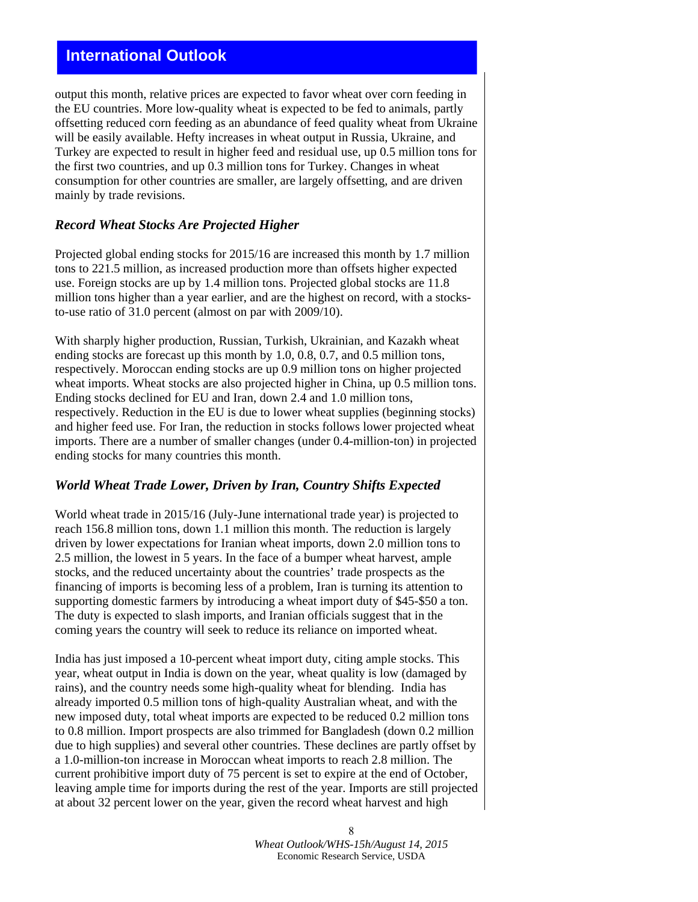output this month, relative prices are expected to favor wheat over corn feeding in the EU countries. More low-quality wheat is expected to be fed to animals, partly offsetting reduced corn feeding as an abundance of feed quality wheat from Ukraine will be easily available. Hefty increases in wheat output in Russia, Ukraine, and Turkey are expected to result in higher feed and residual use, up 0.5 million tons for the first two countries, and up 0.3 million tons for Turkey. Changes in wheat consumption for other countries are smaller, are largely offsetting, and are driven mainly by trade revisions.

#### *Record Wheat Stocks Are Projected Higher*

Projected global ending stocks for 2015/16 are increased this month by 1.7 million tons to 221.5 million, as increased production more than offsets higher expected use. Foreign stocks are up by 1.4 million tons. Projected global stocks are 11.8 million tons higher than a year earlier, and are the highest on record, with a stocksto-use ratio of 31.0 percent (almost on par with 2009/10).

With sharply higher production, Russian, Turkish, Ukrainian, and Kazakh wheat ending stocks are forecast up this month by 1.0, 0.8, 0.7, and 0.5 million tons, respectively. Moroccan ending stocks are up 0.9 million tons on higher projected wheat imports. Wheat stocks are also projected higher in China, up 0.5 million tons. Ending stocks declined for EU and Iran, down 2.4 and 1.0 million tons, respectively. Reduction in the EU is due to lower wheat supplies (beginning stocks) and higher feed use. For Iran, the reduction in stocks follows lower projected wheat imports. There are a number of smaller changes (under 0.4-million-ton) in projected ending stocks for many countries this month.

#### *World Wheat Trade Lower, Driven by Iran, Country Shifts Expected*

World wheat trade in 2015/16 (July-June international trade year) is projected to reach 156.8 million tons, down 1.1 million this month. The reduction is largely driven by lower expectations for Iranian wheat imports, down 2.0 million tons to 2.5 million, the lowest in 5 years. In the face of a bumper wheat harvest, ample stocks, and the reduced uncertainty about the countries' trade prospects as the financing of imports is becoming less of a problem, Iran is turning its attention to supporting domestic farmers by introducing a wheat import duty of \$45-\$50 a ton. The duty is expected to slash imports, and Iranian officials suggest that in the coming years the country will seek to reduce its reliance on imported wheat.

India has just imposed a 10-percent wheat import duty, citing ample stocks. This year, wheat output in India is down on the year, wheat quality is low (damaged by rains), and the country needs some high-quality wheat for blending. India has already imported 0.5 million tons of high-quality Australian wheat, and with the new imposed duty, total wheat imports are expected to be reduced 0.2 million tons to 0.8 million. Import prospects are also trimmed for Bangladesh (down 0.2 million due to high supplies) and several other countries. These declines are partly offset by a 1.0-million-ton increase in Moroccan wheat imports to reach 2.8 million. The current prohibitive import duty of 75 percent is set to expire at the end of October, leaving ample time for imports during the rest of the year. Imports are still projected at about 32 percent lower on the year, given the record wheat harvest and high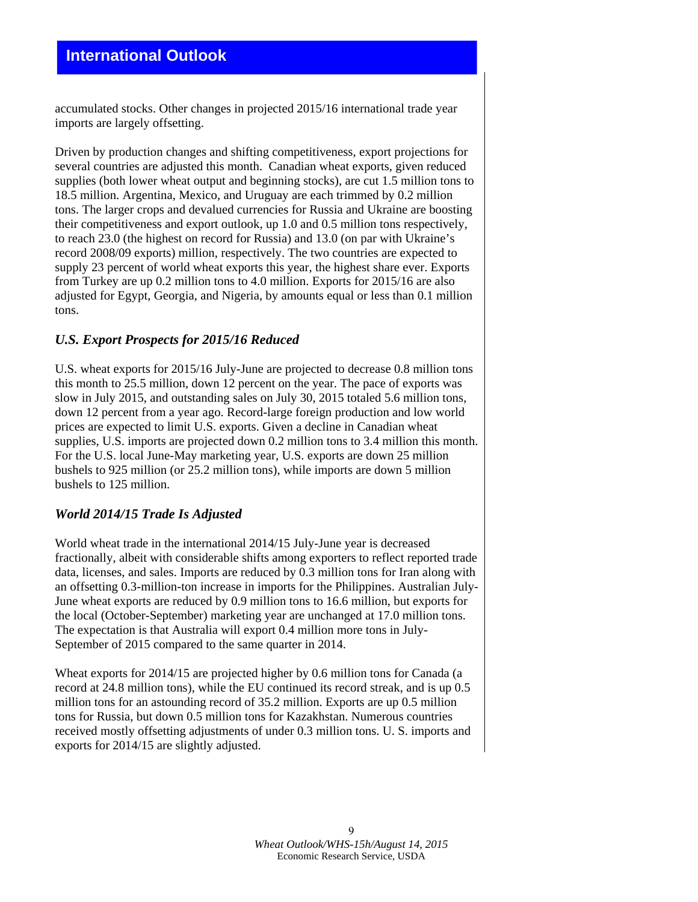accumulated stocks. Other changes in projected 2015/16 international trade year imports are largely offsetting.

Driven by production changes and shifting competitiveness, export projections for several countries are adjusted this month. Canadian wheat exports, given reduced supplies (both lower wheat output and beginning stocks), are cut 1.5 million tons to 18.5 million. Argentina, Mexico, and Uruguay are each trimmed by 0.2 million tons. The larger crops and devalued currencies for Russia and Ukraine are boosting their competitiveness and export outlook, up 1.0 and 0.5 million tons respectively, to reach 23.0 (the highest on record for Russia) and 13.0 (on par with Ukraine's record 2008/09 exports) million, respectively. The two countries are expected to supply 23 percent of world wheat exports this year, the highest share ever. Exports from Turkey are up 0.2 million tons to 4.0 million. Exports for 2015/16 are also adjusted for Egypt, Georgia, and Nigeria, by amounts equal or less than 0.1 million tons.

#### *U.S. Export Prospects for 2015/16 Reduced*

U.S. wheat exports for 2015/16 July-June are projected to decrease 0.8 million tons this month to 25.5 million, down 12 percent on the year. The pace of exports was slow in July 2015, and outstanding sales on July 30, 2015 totaled 5.6 million tons, down 12 percent from a year ago. Record-large foreign production and low world prices are expected to limit U.S. exports. Given a decline in Canadian wheat supplies, U.S. imports are projected down 0.2 million tons to 3.4 million this month. For the U.S. local June-May marketing year, U.S. exports are down 25 million bushels to 925 million (or 25.2 million tons), while imports are down 5 million bushels to 125 million.

#### *World 2014/15 Trade Is Adjusted*

World wheat trade in the international 2014/15 July-June year is decreased fractionally, albeit with considerable shifts among exporters to reflect reported trade data, licenses, and sales. Imports are reduced by 0.3 million tons for Iran along with an offsetting 0.3-million-ton increase in imports for the Philippines. Australian July-June wheat exports are reduced by 0.9 million tons to 16.6 million, but exports for the local (October-September) marketing year are unchanged at 17.0 million tons. The expectation is that Australia will export 0.4 million more tons in July-September of 2015 compared to the same quarter in 2014.

Wheat exports for 2014/15 are projected higher by 0.6 million tons for Canada (a record at 24.8 million tons), while the EU continued its record streak, and is up 0.5 million tons for an astounding record of 35.2 million. Exports are up 0.5 million tons for Russia, but down 0.5 million tons for Kazakhstan. Numerous countries received mostly offsetting adjustments of under 0.3 million tons. U. S. imports and exports for 2014/15 are slightly adjusted.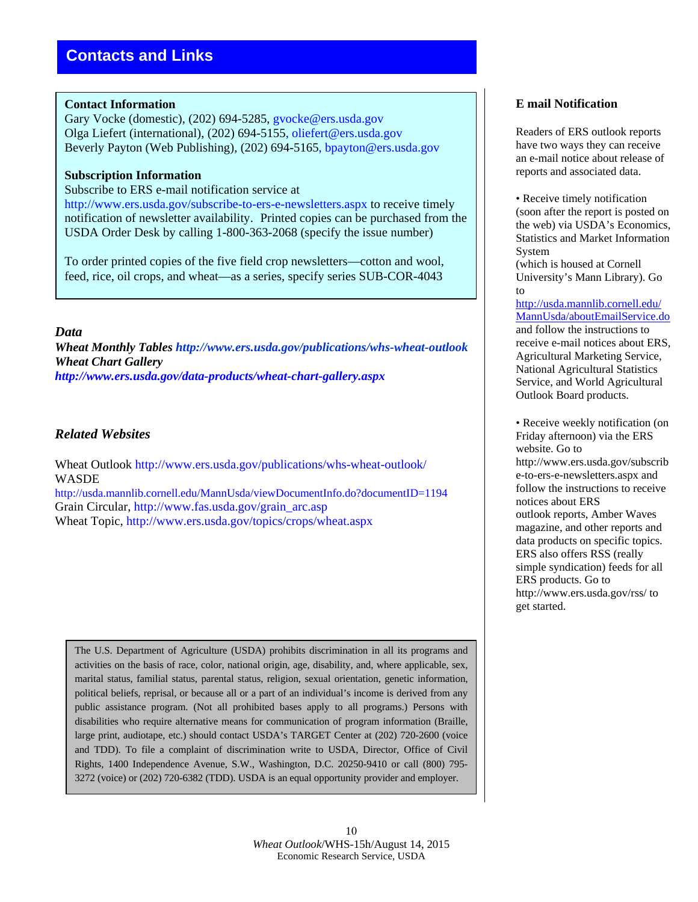#### **Contact Information**

Gary Vocke (domestic), (202) 694-5285, gvocke@ers.usda.gov Olga Liefert (international), (202) 694-5155, oliefert@ers.usda.gov Beverly Payton (Web Publishing), (202) 694-5165, bpayton@ers.usda.gov

#### **Subscription Information**

Subscribe to ERS e-mail notification service at

http://www.ers.usda.gov/subscribe-to-ers-e-newsletters.aspx to receive timely notification of newsletter availability. Printed copies can be purchased from the USDA Order Desk by calling 1-800-363-2068 (specify the issue number)

To order printed copies of the five field crop newsletters—cotton and wool, feed, rice, oil crops, and wheat—as a series, specify series SUB-COR-4043

#### *Data*

*Wheat Monthly Tables http://www.ers.usda.gov/publications/whs-wheat-outlook Wheat Chart Gallery http://www.ers.usda.gov/data-products/wheat-chart-gallery.aspx* 

### *Related Websites*

Wheat Outlook http://www.ers.usda.gov/publications/whs-wheat-outlook/ WASDE http://usda.mannlib.cornell.edu/MannUsda/viewDocumentInfo.do?documentID=1194 Grain Circular, http://www.fas.usda.gov/grain\_arc.asp

Wheat Topic, http://www.ers.usda.gov/topics/crops/wheat.aspx

The U.S. Department of Agriculture (USDA) prohibits discrimination in all its programs and activities on the basis of race, color, national origin, age, disability, and, where applicable, sex, marital status, familial status, parental status, religion, sexual orientation, genetic information, political beliefs, reprisal, or because all or a part of an individual's income is derived from any public assistance program. (Not all prohibited bases apply to all programs.) Persons with disabilities who require alternative means for communication of program information (Braille, large print, audiotape, etc.) should contact USDA's TARGET Center at (202) 720-2600 (voice and TDD). To file a complaint of discrimination write to USDA, Director, Office of Civil Rights, 1400 Independence Avenue, S.W., Washington, D.C. 20250-9410 or call (800) 795- 3272 (voice) or (202) 720-6382 (TDD). USDA is an equal opportunity provider and employer.

### **E mail Notification**

Readers of ERS outlook reports have two ways they can receive an e-mail notice about release of reports and associated data.

• Receive timely notification (soon after the report is posted on the web) via USDA's Economics, Statistics and Market Information System

(which is housed at Cornell University's Mann Library). Go to

http://usda.mannlib.cornell.edu/ MannUsda/aboutEmailService.do and follow the instructions to receive e-mail notices about ERS, Agricultural Marketing Service, National Agricultural Statistics Service, and World Agricultural Outlook Board products.

• Receive weekly notification (on Friday afternoon) via the ERS website. Go to http://www.ers.usda.gov/subscrib e-to-ers-e-newsletters.aspx and follow the instructions to receive notices about ERS outlook reports, Amber Waves magazine, and other reports and data products on specific topics. ERS also offers RSS (really simple syndication) feeds for all ERS products. Go to http://www.ers.usda.gov/rss/ to get started.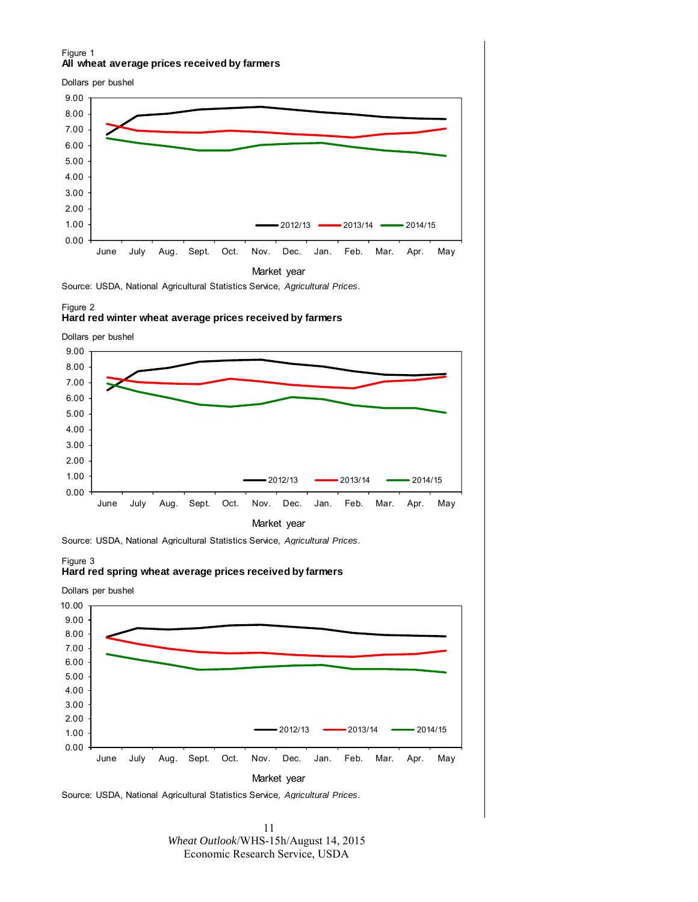#### Figure 1 **All wheat average prices received by farmers**

Dollars per bushel



Source: USDA, National Agricultural Statistics Service, *Agricultural Prices*.

#### Figure 2 **Hard red winter wheat average prices received by farmers**

Dollars per bushel



Source: USDA, National Agricultural Statistics Service, *Agricultural Prices*.

#### Figure 3 **Hard red spring wheat average prices received by farmers**



Source: USDA, National Agricultural Statistics Service, *Agricultural Prices*.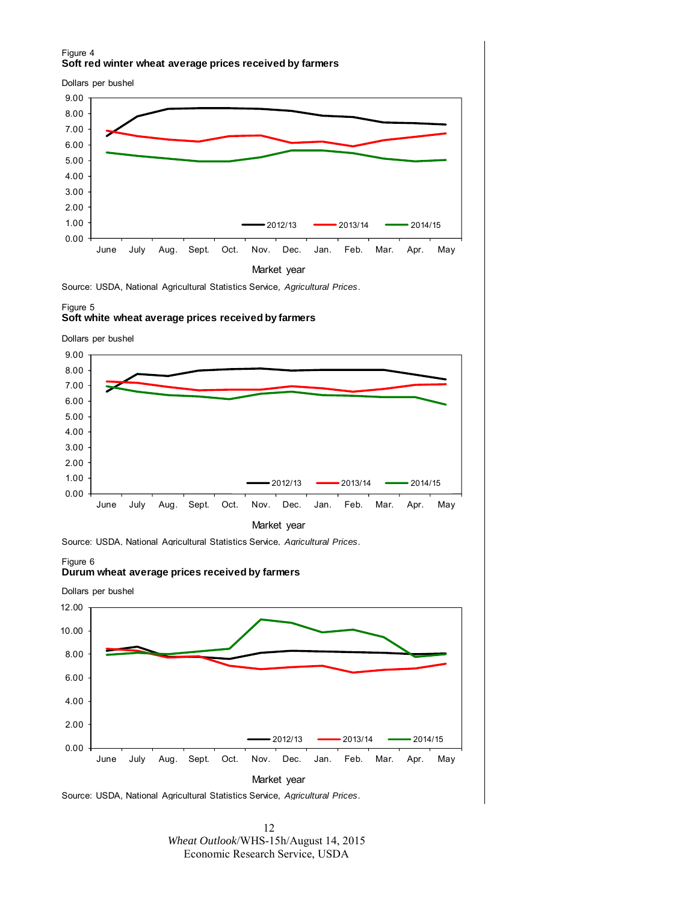#### Figure 4 **Soft red winter wheat average prices received by farmers**

Dollars per bushel



Source: USDA, National Agricultural Statistics Service, *Agricultural Prices*.

#### Figure 5 **Soft white wheat average prices received by farmers**





Market year

Source: USDA, National Agricultural Statistics Service, *Agricultural Prices*.

#### Figure 6 **Durum wheat average prices received by farmers**



Source: USDA, National Agricultural Statistics Service, *Agricultural Prices*.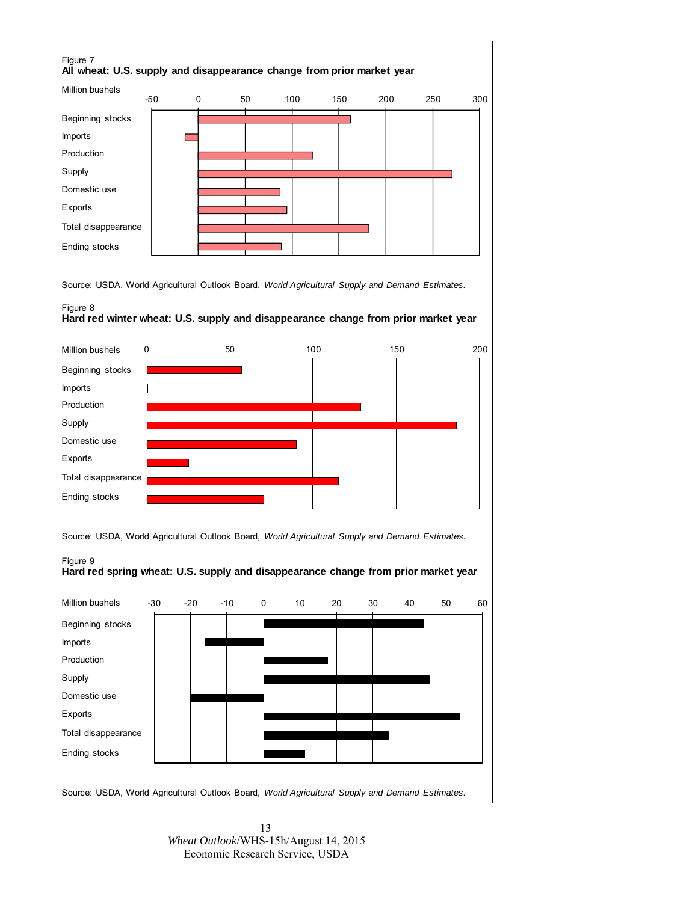#### Figure 7 **All wheat: U.S. supply and disappearance change from prior market year**



Source: USDA, World Agricultural Outlook Board, *World Agricultural Supply and Demand Estimates.*

#### Figure 8 **Hard red winter wheat: U.S. supply and disappearance change from prior market year**



Source: USDA, World Agricultural Outlook Board, *World Agricultural Supply and Demand Estimates.*





Source: USDA, World Agricultural Outlook Board, *World Agricultural Supply and Demand Estimates.*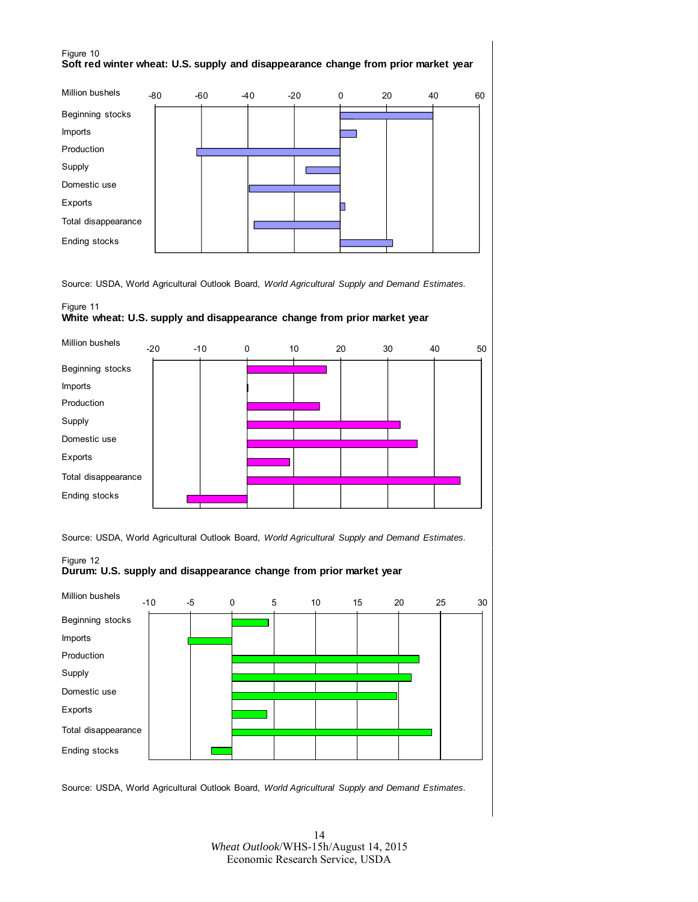#### Figure 10 **Soft red winter wheat: U.S. supply and disappearance change from prior market year**



Source: USDA, World Agricultural Outlook Board, *World Agricultural Supply and Demand Estimates.*

#### Figure 11 **White wheat: U.S. supply and disappearance change from prior market year**

![](_page_13_Figure_4.jpeg)

Source: USDA, World Agricultural Outlook Board, *World Agricultural Supply and Demand Estimates.*

![](_page_13_Figure_6.jpeg)

![](_page_13_Figure_7.jpeg)

Source: USDA, World Agricultural Outlook Board, *World Agricultural Supply and Demand Estimates.*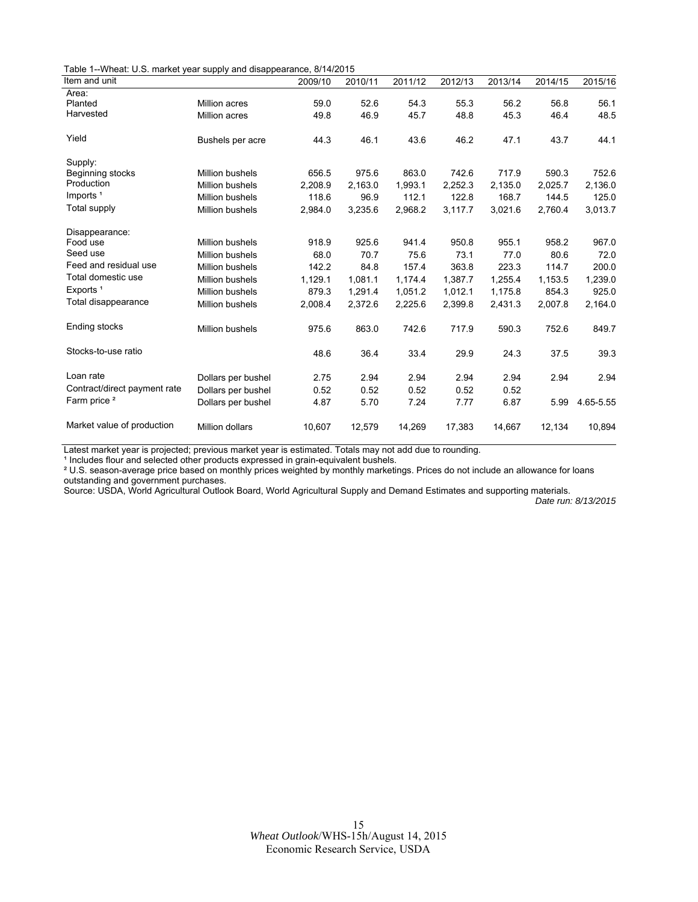Table 1--Wheat: U.S. market year supply and disappearance, 8/14/2015

| Item and unit                |                        | 2009/10 | 2010/11 | 2011/12 | 2012/13 | 2013/14 | 2014/15 | 2015/16   |
|------------------------------|------------------------|---------|---------|---------|---------|---------|---------|-----------|
| Area:                        |                        |         |         |         |         |         |         |           |
| Planted                      | Million acres          | 59.0    | 52.6    | 54.3    | 55.3    | 56.2    | 56.8    | 56.1      |
| Harvested                    | Million acres          | 49.8    | 46.9    | 45.7    | 48.8    | 45.3    | 46.4    | 48.5      |
| Yield                        | Bushels per acre       | 44.3    | 46.1    | 43.6    | 46.2    | 47.1    | 43.7    | 44.1      |
| Supply:                      |                        |         |         |         |         |         |         |           |
| Beginning stocks             | <b>Million bushels</b> | 656.5   | 975.6   | 863.0   | 742.6   | 717.9   | 590.3   | 752.6     |
| Production                   | <b>Million bushels</b> | 2,208.9 | 2.163.0 | 1,993.1 | 2,252.3 | 2,135.0 | 2,025.7 | 2,136.0   |
| Imports <sup>1</sup>         | <b>Million bushels</b> | 118.6   | 96.9    | 112.1   | 122.8   | 168.7   | 144.5   | 125.0     |
| Total supply                 | Million bushels        | 2,984.0 | 3,235.6 | 2,968.2 | 3,117.7 | 3,021.6 | 2,760.4 | 3,013.7   |
| Disappearance:               |                        |         |         |         |         |         |         |           |
| Food use                     | <b>Million bushels</b> | 918.9   | 925.6   | 941.4   | 950.8   | 955.1   | 958.2   | 967.0     |
| Seed use                     | <b>Million bushels</b> | 68.0    | 70.7    | 75.6    | 73.1    | 77.0    | 80.6    | 72.0      |
| Feed and residual use        | <b>Million bushels</b> | 142.2   | 84.8    | 157.4   | 363.8   | 223.3   | 114.7   | 200.0     |
| Total domestic use           | <b>Million bushels</b> | 1,129.1 | 1,081.1 | 1,174.4 | 1,387.7 | 1,255.4 | 1,153.5 | 1,239.0   |
| Exports <sup>1</sup>         | <b>Million bushels</b> | 879.3   | 1,291.4 | 1,051.2 | 1,012.1 | 1,175.8 | 854.3   | 925.0     |
| Total disappearance          | <b>Million bushels</b> | 2,008.4 | 2,372.6 | 2,225.6 | 2,399.8 | 2,431.3 | 2,007.8 | 2,164.0   |
| Ending stocks                | <b>Million bushels</b> | 975.6   | 863.0   | 742.6   | 717.9   | 590.3   | 752.6   | 849.7     |
| Stocks-to-use ratio          |                        | 48.6    | 36.4    | 33.4    | 29.9    | 24.3    | 37.5    | 39.3      |
| Loan rate                    | Dollars per bushel     | 2.75    | 2.94    | 2.94    | 2.94    | 2.94    | 2.94    | 2.94      |
| Contract/direct payment rate | Dollars per bushel     | 0.52    | 0.52    | 0.52    | 0.52    | 0.52    |         |           |
| Farm price <sup>2</sup>      | Dollars per bushel     | 4.87    | 5.70    | 7.24    | 7.77    | 6.87    | 5.99    | 4.65-5.55 |
| Market value of production   | <b>Million dollars</b> | 10,607  | 12,579  | 14,269  | 17,383  | 14,667  | 12,134  | 10,894    |

Latest market year is projected; previous market year is estimated. Totals may not add due to rounding.

<sup>1</sup> Includes flour and selected other products expressed in grain-equivalent bushels.

² U.S. season-average price based on monthly prices weighted by monthly marketings. Prices do not include an allowance for loans outstanding and government purchases.

Source: USDA, World Agricultural Outlook Board, World Agricultural Supply and Demand Estimates and supporting materials.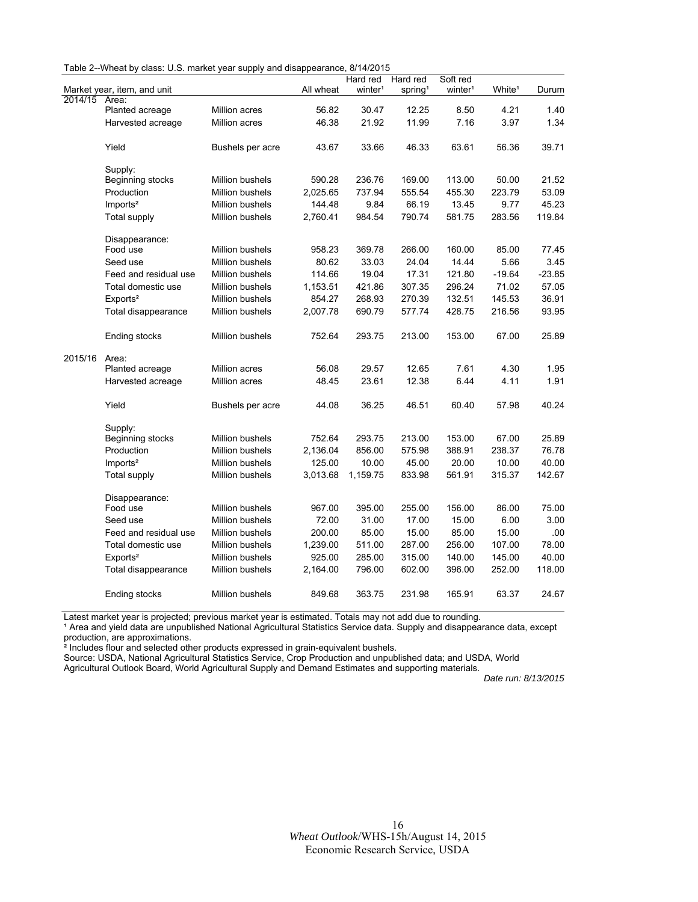| Table 2--Wheat by class: U.S. market year supply and disappearance, 8/14/2015 |  |  |  |
|-------------------------------------------------------------------------------|--|--|--|
|-------------------------------------------------------------------------------|--|--|--|

|         |                                |                  |           | Hard red            | Hard red            | Soft red            |                    |          |
|---------|--------------------------------|------------------|-----------|---------------------|---------------------|---------------------|--------------------|----------|
|         | Market year, item, and unit    |                  | All wheat | winter <sup>1</sup> | spring <sup>1</sup> | winter <sup>1</sup> | White <sup>1</sup> | Durum    |
| 2014/15 | Area:                          |                  |           |                     |                     |                     |                    |          |
|         | Planted acreage                | Million acres    | 56.82     | 30.47               | 12.25               | 8.50                | 4.21               | 1.40     |
|         | Harvested acreage              | Million acres    | 46.38     | 21.92               | 11.99               | 7.16                | 3.97               | 1.34     |
|         | Yield                          | Bushels per acre | 43.67     | 33.66               | 46.33               | 63.61               | 56.36              | 39.71    |
|         |                                |                  |           |                     |                     |                     |                    |          |
|         | Supply:                        |                  |           |                     |                     |                     |                    |          |
|         | Beginning stocks               | Million bushels  | 590.28    | 236.76              | 169.00              | 113.00              | 50.00              | 21.52    |
|         | Production                     | Million bushels  | 2,025.65  | 737.94              | 555.54              | 455.30              | 223.79             | 53.09    |
|         | Imports <sup>2</sup>           | Million bushels  | 144.48    | 9.84                | 66.19               | 13.45               | 9.77               | 45.23    |
|         | <b>Total supply</b>            | Million bushels  | 2,760.41  | 984.54              | 790.74              | 581.75              | 283.56             | 119.84   |
|         | Disappearance:                 |                  |           |                     |                     |                     |                    |          |
|         | Food use                       | Million bushels  | 958.23    | 369.78              | 266.00              | 160.00              | 85.00              | 77.45    |
|         | Seed use                       | Million bushels  | 80.62     | 33.03               | 24.04               | 14.44               | 5.66               | 3.45     |
|         | Feed and residual use          | Million bushels  | 114.66    | 19.04               | 17.31               | 121.80              | $-19.64$           | $-23.85$ |
|         | Total domestic use             | Million bushels  | 1,153.51  | 421.86              | 307.35              | 296.24              | 71.02              | 57.05    |
|         | Exports <sup>2</sup>           | Million bushels  | 854.27    | 268.93              | 270.39              | 132.51              | 145.53             | 36.91    |
|         | Total disappearance            | Million bushels  | 2,007.78  | 690.79              | 577.74              | 428.75              | 216.56             | 93.95    |
|         | Ending stocks                  | Million bushels  | 752.64    | 293.75              | 213.00              | 153.00              | 67.00              | 25.89    |
| 2015/16 | Area:                          |                  |           |                     |                     |                     |                    |          |
|         | Planted acreage                | Million acres    | 56.08     | 29.57               | 12.65               | 7.61                | 4.30               | 1.95     |
|         | Harvested acreage              | Million acres    | 48.45     | 23.61               | 12.38               | 6.44                | 4.11               | 1.91     |
|         | Yield                          | Bushels per acre | 44.08     | 36.25               | 46.51               | 60.40               | 57.98              | 40.24    |
|         |                                |                  |           |                     |                     |                     |                    |          |
|         | Supply:                        | Million bushels  | 752.64    | 293.75              | 213.00              | 153.00              | 67.00              | 25.89    |
|         | Beginning stocks<br>Production | Million bushels  |           | 856.00              | 575.98              | 388.91              | 238.37             | 76.78    |
|         |                                |                  | 2,136.04  |                     |                     |                     |                    |          |
|         | Imports <sup>2</sup>           | Million bushels  | 125.00    | 10.00               | 45.00               | 20.00               | 10.00              | 40.00    |
|         | <b>Total supply</b>            | Million bushels  | 3,013.68  | 1,159.75            | 833.98              | 561.91              | 315.37             | 142.67   |
|         | Disappearance:                 |                  |           |                     |                     |                     |                    |          |
|         | Food use                       | Million bushels  | 967.00    | 395.00              | 255.00              | 156.00              | 86.00              | 75.00    |
|         | Seed use                       | Million bushels  | 72.00     | 31.00               | 17.00               | 15.00               | 6.00               | 3.00     |
|         | Feed and residual use          | Million bushels  | 200.00    | 85.00               | 15.00               | 85.00               | 15.00              | .00      |
|         | Total domestic use             | Million bushels  | 1,239.00  | 511.00              | 287.00              | 256.00              | 107.00             | 78.00    |
|         | Exports <sup>2</sup>           | Million bushels  | 925.00    | 285.00              | 315.00              | 140.00              | 145.00             | 40.00    |
|         | Total disappearance            | Million bushels  | 2,164.00  | 796.00              | 602.00              | 396.00              | 252.00             | 118.00   |
|         | Ending stocks                  | Million bushels  | 849.68    | 363.75              | 231.98              | 165.91              | 63.37              | 24.67    |

Latest market year is projected; previous market year is estimated. Totals may not add due to rounding.

<sup>1</sup> Area and yield data are unpublished National Agricultural Statistics Service data. Supply and disappearance data, except production, are approximations.

² Includes flour and selected other products expressed in grain-equivalent bushels.

Source: USDA, National Agricultural Statistics Service, Crop Production and unpublished data; and USDA, World

Agricultural Outlook Board, World Agricultural Supply and Demand Estimates and supporting materials.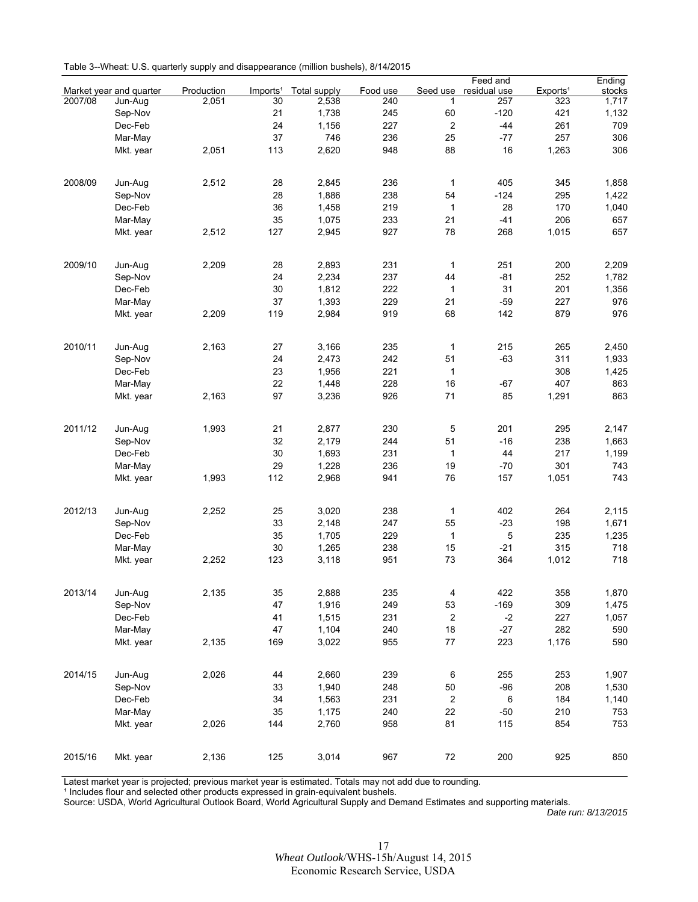| Table 3--Wheat: U.S. quarterly supply and disappearance (million bushels), 8/14/2015 |  |  |  |  |
|--------------------------------------------------------------------------------------|--|--|--|--|
|--------------------------------------------------------------------------------------|--|--|--|--|

|         |                         |            |                      |              |          |                         | Feed and     |                      | Ending |
|---------|-------------------------|------------|----------------------|--------------|----------|-------------------------|--------------|----------------------|--------|
|         | Market year and quarter | Production | Imports <sup>1</sup> | Total supply | Food use | Seed use                | residual use | Exports <sup>1</sup> | stocks |
| 2007/08 | Jun-Aug                 | 2,051      | 30                   | 2,538        | 240      | 1                       | 257          | 323                  | 1,717  |
|         | Sep-Nov                 |            | 21                   | 1,738        | 245      | 60                      | $-120$       | 421                  | 1,132  |
|         | Dec-Feb                 |            | 24                   | 1,156        | 227      | $\overline{\mathbf{c}}$ | $-44$        | 261                  | 709    |
|         | Mar-May                 |            | 37                   | 746          | 236      | 25                      | $-77$        | 257                  | 306    |
|         | Mkt. year               | 2,051      | 113                  | 2.620        | 948      | 88                      | 16           | 1,263                | 306    |
|         |                         |            |                      |              |          |                         |              |                      |        |
| 2008/09 | Jun-Aug                 | 2,512      | 28                   | 2,845        | 236      | $\mathbf{1}$            | 405          | 345                  | 1,858  |
|         | Sep-Nov                 |            | 28                   | 1,886        | 238      | 54                      | $-124$       | 295                  | 1,422  |
|         |                         |            |                      | 1.458        |          |                         |              |                      |        |
|         | Dec-Feb                 |            | 36                   |              | 219      | 1                       | 28           | 170                  | 1,040  |
|         | Mar-May                 |            | 35                   | 1,075        | 233      | 21                      | $-41$        | 206                  | 657    |
|         | Mkt. year               | 2,512      | 127                  | 2,945        | 927      | 78                      | 268          | 1,015                | 657    |
| 2009/10 | Jun-Aug                 | 2,209      | 28                   | 2,893        | 231      | $\mathbf{1}$            | 251          | 200                  | 2,209  |
|         | Sep-Nov                 |            | 24                   | 2,234        | 237      | 44                      | $-81$        | 252                  | 1,782  |
|         |                         |            |                      |              |          |                         |              |                      |        |
|         | Dec-Feb                 |            | 30                   | 1,812        | 222      | 1                       | 31           | 201                  | 1,356  |
|         | Mar-May                 |            | 37                   | 1,393        | 229      | 21                      | $-59$        | 227                  | 976    |
|         | Mkt. year               | 2,209      | 119                  | 2,984        | 919      | 68                      | 142          | 879                  | 976    |
| 2010/11 | Jun-Aug                 | 2,163      | 27                   | 3,166        | 235      | $\mathbf{1}$            | 215          | 265                  | 2,450  |
|         | Sep-Nov                 |            | 24                   | 2,473        | 242      | 51                      | $-63$        | 311                  | 1,933  |
|         | Dec-Feb                 |            | 23                   | 1,956        | 221      | $\mathbf{1}$            |              | 308                  | 1,425  |
|         | Mar-May                 |            | 22                   | 1,448        | 228      | 16                      | $-67$        | 407                  | 863    |
|         |                         |            | 97                   |              | 926      | 71                      | 85           |                      | 863    |
|         | Mkt. year               | 2,163      |                      | 3,236        |          |                         |              | 1,291                |        |
| 2011/12 | Jun-Aug                 | 1,993      | 21                   | 2,877        | 230      | 5                       | 201          | 295                  | 2,147  |
|         | Sep-Nov                 |            | 32                   | 2,179        | 244      | 51                      | $-16$        | 238                  | 1,663  |
|         | Dec-Feb                 |            | 30                   | 1,693        | 231      | $\mathbf{1}$            | 44           | 217                  | 1,199  |
|         | Mar-May                 |            | 29                   | 1,228        | 236      | 19                      | $-70$        | 301                  | 743    |
|         | Mkt. year               | 1,993      | 112                  | 2,968        | 941      | 76                      | 157          | 1,051                | 743    |
|         |                         |            |                      |              |          |                         |              |                      |        |
| 2012/13 | Jun-Aug                 | 2,252      | 25                   | 3,020        | 238      | $\mathbf{1}$            | 402          | 264                  | 2,115  |
|         | Sep-Nov                 |            | 33                   | 2,148        | 247      | 55                      | $-23$        | 198                  | 1,671  |
|         | Dec-Feb                 |            | 35                   | 1,705        | 229      | $\mathbf{1}$            | 5            | 235                  | 1,235  |
|         | Mar-May                 |            | 30                   | 1,265        | 238      | 15                      | $-21$        | 315                  | 718    |
|         | Mkt. year               | 2,252      | 123                  | 3,118        | 951      | 73                      | 364          | 1,012                | 718    |
|         |                         |            |                      |              |          |                         |              |                      |        |
| 2013/14 | Jun-Aug                 | 2,135      | 35                   | 2,888        | 235      | 4                       | 422          | 358                  | 1,870  |
|         | Sep-Nov                 |            | 47                   | 1,916        | 249      | 53                      | $-169$       | 309                  | 1,475  |
|         | Dec-Feb                 |            | 41                   | 1,515        | 231      | $\boldsymbol{2}$        | $-2$         | 227                  | 1,057  |
|         | Mar-May                 |            | 47                   | 1,104        | 240      | 18                      | $-27$        | 282                  | 590    |
|         | Mkt. year               | 2,135      | 169                  | 3,022        | 955      | 77                      | 223          | 1,176                | 590    |
|         |                         |            |                      |              |          |                         |              |                      |        |
| 2014/15 | Jun-Aug                 | 2,026      | 44                   | 2,660        | 239      | $\,6\,$                 | 255          | 253                  | 1,907  |
|         | Sep-Nov                 |            | 33                   | 1,940        | 248      | $50\,$                  | $-96$        | 208                  | 1,530  |
|         | Dec-Feb                 |            | 34                   | 1,563        | 231      | $\boldsymbol{2}$        | 6            | 184                  | 1,140  |
|         | Mar-May                 |            | 35                   | 1,175        | 240      | 22                      | $-50$        | 210                  | 753    |
|         | Mkt. year               | 2,026      | 144                  | 2,760        | 958      | 81                      | 115          | 854                  | 753    |
|         |                         |            |                      |              |          |                         |              |                      |        |
| 2015/16 | Mkt. year               | 2,136      | 125                  | 3,014        | 967      | 72                      | 200          | 925                  | 850    |

Latest market year is projected; previous market year is estimated. Totals may not add due to rounding.

<sup>1</sup> Includes flour and selected other products expressed in grain-equivalent bushels.

Source: USDA, World Agricultural Outlook Board, World Agricultural Supply and Demand Estimates and supporting materials.

Date run: 8/13/2015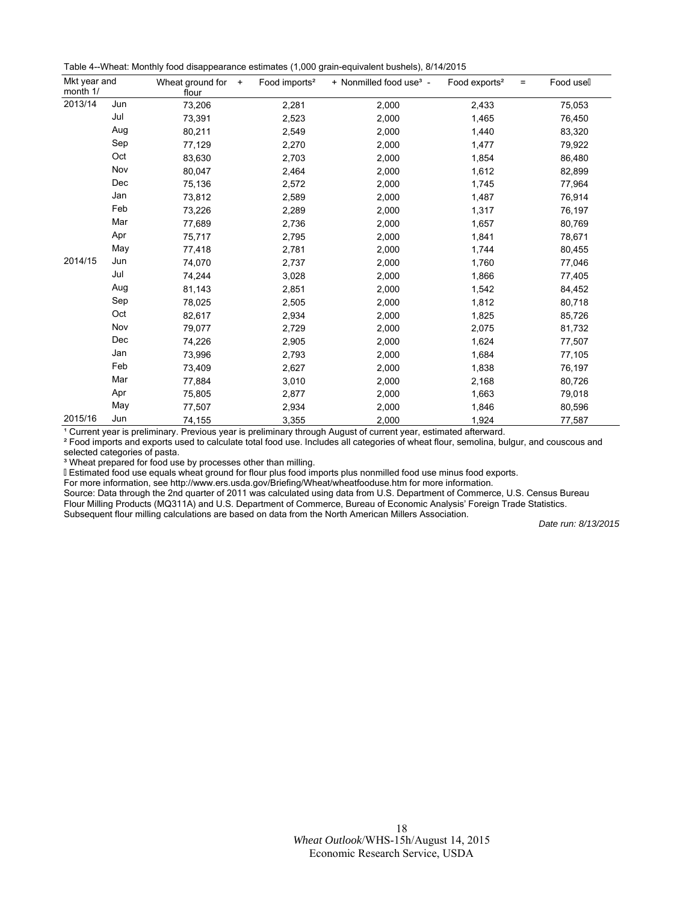| Mkt year and<br>month 1/ |     | Wheat ground for<br>$+$<br>flour | Food imports <sup>2</sup> | + Nonmilled food use <sup>3</sup> - | Food exports <sup>2</sup><br>$=$ | Food usell |
|--------------------------|-----|----------------------------------|---------------------------|-------------------------------------|----------------------------------|------------|
| 2013/14                  | Jun | 73,206                           | 2,281                     | 2,000                               | 2,433                            | 75,053     |
|                          | Jul | 73,391                           | 2,523                     | 2,000                               | 1,465                            | 76,450     |
|                          | Aug | 80,211                           | 2,549                     | 2,000                               | 1,440                            | 83,320     |
|                          | Sep | 77,129                           | 2,270                     | 2,000                               | 1,477                            | 79,922     |
|                          | Oct | 83,630                           | 2,703                     | 2,000                               | 1,854                            | 86,480     |
|                          | Nov | 80,047                           | 2,464                     | 2,000                               | 1,612                            | 82,899     |
|                          | Dec | 75,136                           | 2,572                     | 2,000                               | 1,745                            | 77,964     |
|                          | Jan | 73,812                           | 2,589                     | 2,000                               | 1,487                            | 76,914     |
|                          | Feb | 73,226                           | 2,289                     | 2,000                               | 1,317                            | 76,197     |
|                          | Mar | 77,689                           | 2,736                     | 2,000                               | 1,657                            | 80,769     |
|                          | Apr | 75,717                           | 2,795                     | 2,000                               | 1,841                            | 78,671     |
|                          | May | 77,418                           | 2,781                     | 2,000                               | 1,744                            | 80,455     |
| 2014/15                  | Jun | 74,070                           | 2,737                     | 2,000                               | 1,760                            | 77,046     |
|                          | Jul | 74,244                           | 3,028                     | 2,000                               | 1,866                            | 77,405     |
|                          | Aug | 81,143                           | 2,851                     | 2,000                               | 1,542                            | 84,452     |
|                          | Sep | 78,025                           | 2,505                     | 2,000                               | 1,812                            | 80,718     |
|                          | Oct | 82,617                           | 2,934                     | 2,000                               | 1,825                            | 85,726     |
|                          | Nov | 79,077                           | 2,729                     | 2,000                               | 2,075                            | 81,732     |
|                          | Dec | 74,226                           | 2,905                     | 2,000                               | 1,624                            | 77,507     |
|                          | Jan | 73,996                           | 2,793                     | 2,000                               | 1,684                            | 77,105     |
|                          | Feb | 73,409                           | 2,627                     | 2,000                               | 1,838                            | 76,197     |
|                          | Mar | 77,884                           | 3,010                     | 2,000                               | 2,168                            | 80,726     |
|                          | Apr | 75,805                           | 2,877                     | 2,000                               | 1,663                            | 79,018     |
|                          | May | 77,507                           | 2,934                     | 2,000                               | 1,846                            | 80,596     |
| 2015/16                  | Jun | 74,155                           | 3,355                     | 2,000                               | 1,924                            | 77,587     |

<sup>1</sup> Current year is preliminary. Previous year is preliminary through August of current year, estimated afterward.

² Food imports and exports used to calculate total food use. Includes all categories of wheat flour, semolina, bulgur, and couscous and selected categories of pasta.

<sup>3</sup> Wheat prepared for food use by processes other than milling.

Estimated food use equals wheat ground for flour plus food imports plus nonmilled food use minus food exports.

For more information, see http://www.ers.usda.gov/Briefing/Wheat/wheatfooduse.htm for more information.

Source: Data through the 2nd quarter of 2011 was calculated using data from U.S. Department of Commerce, U.S. Census Bureau Flour Milling Products (MQ311A) and U.S. Department of Commerce, Bureau of Economic Analysis' Foreign Trade Statistics. Subsequent flour milling calculations are based on data from the North American Millers Association.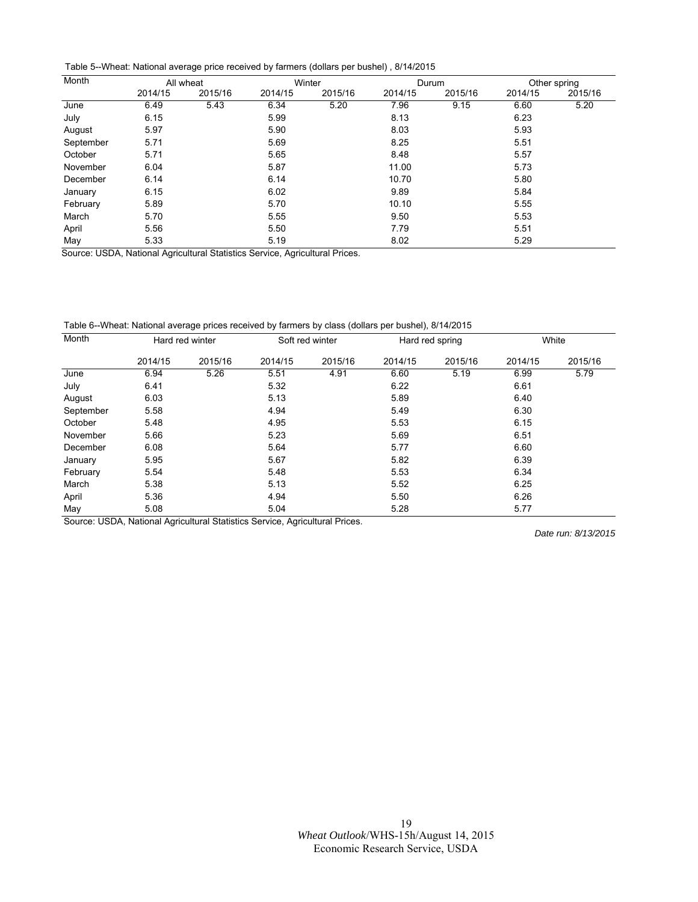Table 5--Wheat: National average price received by farmers (dollars per bushel) , 8/14/2015

| Month     |           | All wheat | Winter                                 |                | Durum   |         | Other spring |         |
|-----------|-----------|-----------|----------------------------------------|----------------|---------|---------|--------------|---------|
|           | 2014/15   | 2015/16   | 2014/15                                | 2015/16        | 2014/15 | 2015/16 | 2014/15      | 2015/16 |
| June      | 6.49      | 5.43      | 6.34                                   | 5.20           | 7.96    | 9.15    | 6.60         | 5.20    |
| July      | 6.15      |           | 5.99                                   |                | 8.13    |         | 6.23         |         |
| August    | 5.97      |           | 5.90                                   |                | 8.03    |         | 5.93         |         |
| September | 5.71      |           | 5.69                                   |                | 8.25    |         | 5.51         |         |
| October   | 5.71      |           | 5.65                                   |                | 8.48    |         | 5.57         |         |
| November  | 6.04      |           | 5.87                                   |                | 11.00   |         | 5.73         |         |
| December  | 6.14      |           | 6.14                                   |                | 10.70   |         | 5.80         |         |
| January   | 6.15      |           | 6.02                                   |                | 9.89    |         | 5.84         |         |
| February  | 5.89      |           | 5.70                                   |                | 10.10   |         | 5.55         |         |
| March     | 5.70      |           | 5.55                                   |                | 9.50    |         | 5.53         |         |
| April     | 5.56      |           | 5.50                                   |                | 7.79    |         | 5.51         |         |
| May       | 5.33<br>. | .         | 5.19<br>$\sim$<br>$\sim$ $\sim$ $\sim$ | $\sim$ $ \sim$ | 8.02    |         | 5.29         |         |

Source: USDA, National Agricultural Statistics Service, Agricultural Prices.

Table 6--Wheat: National average prices received by farmers by class (dollars per bushel), 8/14/2015

| Month     | Hard red winter |         | Soft red winter |         | Hard red spring |         | White   |         |
|-----------|-----------------|---------|-----------------|---------|-----------------|---------|---------|---------|
|           | 2014/15         | 2015/16 | 2014/15         | 2015/16 | 2014/15         | 2015/16 | 2014/15 | 2015/16 |
| June      | 6.94            | 5.26    | 5.51            | 4.91    | 6.60            | 5.19    | 6.99    | 5.79    |
| July      | 6.41            |         | 5.32            |         | 6.22            |         | 6.61    |         |
| August    | 6.03            |         | 5.13            |         | 5.89            |         | 6.40    |         |
| September | 5.58            |         | 4.94            |         | 5.49            |         | 6.30    |         |
| October   | 5.48            |         | 4.95            |         | 5.53            |         | 6.15    |         |
| November  | 5.66            |         | 5.23            |         | 5.69            |         | 6.51    |         |
| December  | 6.08            |         | 5.64            |         | 5.77            |         | 6.60    |         |
| January   | 5.95            |         | 5.67            |         | 5.82            |         | 6.39    |         |
| February  | 5.54            |         | 5.48            |         | 5.53            |         | 6.34    |         |
| March     | 5.38            |         | 5.13            |         | 5.52            |         | 6.25    |         |
| April     | 5.36            |         | 4.94            |         | 5.50            |         | 6.26    |         |
| May       | 5.08            |         | 5.04            |         | 5.28            |         | 5.77    |         |

Source: USDA, National Agricultural Statistics Service, Agricultural Prices.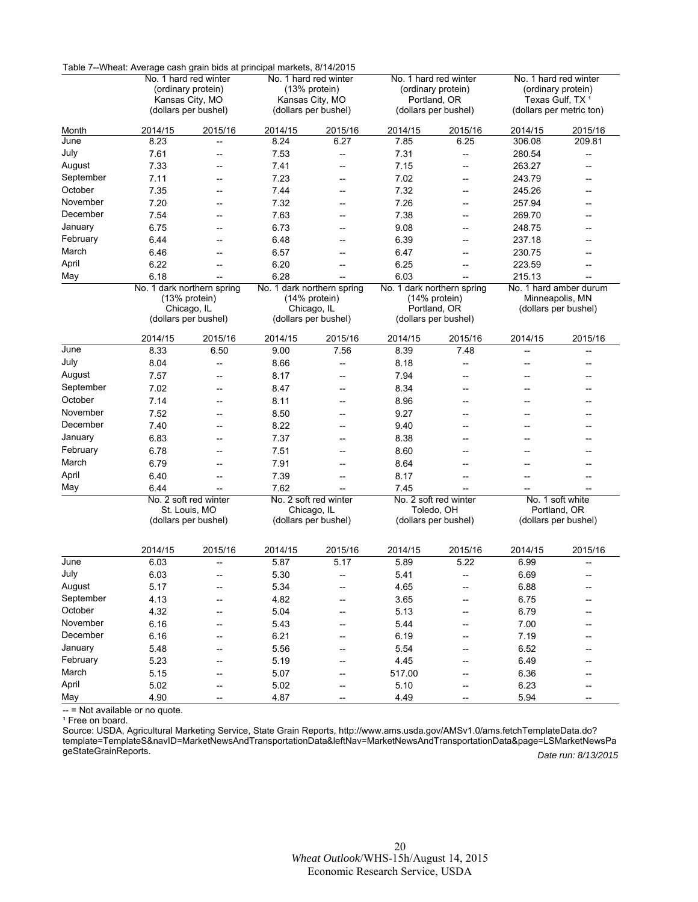|           | Table 7--Wheat: Average cash grain bids at principal markets, 8/14/2015                |                                |                                                           |                          |                                      |                                      |                                             |                                                         |  |
|-----------|----------------------------------------------------------------------------------------|--------------------------------|-----------------------------------------------------------|--------------------------|--------------------------------------|--------------------------------------|---------------------------------------------|---------------------------------------------------------|--|
|           | No. 1 hard red winter<br>(ordinary protein)<br>Kansas City, MO<br>(dollars per bushel) |                                | No. 1 hard red winter<br>(13% protein)<br>Kansas City, MO |                          |                                      | No. 1 hard red winter                | No. 1 hard red winter<br>(ordinary protein) |                                                         |  |
|           |                                                                                        |                                |                                                           |                          |                                      | (ordinary protein)                   |                                             |                                                         |  |
|           |                                                                                        |                                |                                                           | (dollars per bushel)     |                                      | Portland, OR<br>(dollars per bushel) |                                             | Texas Gulf, TX <sup>1</sup><br>(dollars per metric ton) |  |
|           |                                                                                        |                                |                                                           |                          |                                      |                                      |                                             |                                                         |  |
| Month     | 2014/15                                                                                | 2015/16                        | 2014/15                                                   | 2015/16                  | 2014/15                              | 2015/16                              | 2014/15                                     | 2015/16                                                 |  |
| June      | 8.23                                                                                   | --                             | 8.24                                                      | 6.27                     | 7.85                                 | 6.25                                 | 306.08                                      | 209.81                                                  |  |
| July      | 7.61                                                                                   | $\overline{\phantom{a}}$       | 7.53                                                      | --                       | 7.31                                 | --                                   | 280.54                                      | $-\!$                                                   |  |
| August    | 7.33                                                                                   | --                             | 7.41                                                      | --                       | 7.15                                 | --                                   | 263.27                                      |                                                         |  |
| September | 7.11                                                                                   | $\overline{\phantom{a}}$       | 7.23                                                      | --                       | 7.02                                 | $\overline{\phantom{a}}$             | 243.79                                      | --                                                      |  |
| October   | 7.35                                                                                   | $\overline{\phantom{a}}$       | 7.44                                                      | --                       | 7.32                                 | $\overline{\phantom{a}}$             | 245.26                                      |                                                         |  |
| November  | 7.20                                                                                   | $\overline{\phantom{0}}$       | 7.32                                                      | --                       | 7.26                                 | $\overline{\phantom{a}}$             | 257.94                                      |                                                         |  |
| December  | 7.54                                                                                   | --                             | 7.63                                                      | --                       | 7.38                                 | --                                   | 269.70                                      |                                                         |  |
| January   | 6.75                                                                                   | $\overline{\phantom{a}}$       | 6.73                                                      | --                       | 9.08                                 | $\overline{\phantom{a}}$             | 248.75                                      |                                                         |  |
| February  | 6.44                                                                                   | $\overline{\phantom{a}}$       | 6.48                                                      | --                       | 6.39                                 | $\overline{\phantom{a}}$             | 237.18                                      | --                                                      |  |
| March     | 6.46                                                                                   | $\overline{\phantom{a}}$       | 6.57                                                      | $\overline{\phantom{a}}$ | 6.47                                 | $\overline{\phantom{a}}$             | 230.75                                      |                                                         |  |
| April     | 6.22                                                                                   | $\overline{\phantom{a}}$       | 6.20                                                      | --                       | 6.25                                 | $\overline{\phantom{a}}$             | 223.59                                      |                                                         |  |
| May       | 6.18                                                                                   | --                             | 6.28                                                      |                          | 6.03                                 | --                                   | 215.13                                      |                                                         |  |
|           |                                                                                        | No. 1 dark northern spring     | No. 1 dark northern spring                                |                          |                                      | No. 1 dark northern spring           | No. 1 hard amber durum                      |                                                         |  |
|           |                                                                                        | $(13%$ protein)<br>Chicago, IL |                                                           | $(14%$ protein)          |                                      | (14% protein)                        |                                             | Minneapolis, MN                                         |  |
|           |                                                                                        | (dollars per bushel)           | Chicago, IL<br>(dollars per bushel)                       |                          | Portland, OR<br>(dollars per bushel) |                                      | (dollars per bushel)                        |                                                         |  |
|           |                                                                                        |                                |                                                           |                          |                                      |                                      |                                             |                                                         |  |
|           | 2014/15                                                                                | 2015/16                        | 2014/15                                                   | 2015/16                  | 2014/15                              | 2015/16                              | 2014/15                                     | 2015/16                                                 |  |
| June      | 8.33                                                                                   | 6.50                           | 9.00                                                      | 7.56                     | 8.39                                 | 7.48                                 | --                                          | $\overline{\phantom{a}}$                                |  |
| July      | 8.04                                                                                   | --                             | 8.66                                                      | $\overline{\phantom{a}}$ | 8.18                                 | $\overline{\phantom{a}}$             | $\overline{\phantom{a}}$                    | $\overline{\phantom{a}}$                                |  |
| August    | 7.57                                                                                   | --                             | 8.17                                                      | --                       | 7.94                                 | --                                   |                                             |                                                         |  |
| September | 7.02                                                                                   | $\overline{\phantom{a}}$       | 8.47                                                      | --                       | 8.34                                 | --                                   |                                             |                                                         |  |
| October   | 7.14                                                                                   | $\overline{\phantom{a}}$       | 8.11                                                      | --                       | 8.96                                 | $-$                                  | --                                          |                                                         |  |
| November  | 7.52                                                                                   | --                             | 8.50                                                      | --                       | 9.27                                 |                                      |                                             |                                                         |  |
| December  | 7.40                                                                                   | $\overline{\phantom{a}}$       | 8.22                                                      | --                       | 9.40                                 | --                                   |                                             |                                                         |  |
| January   | 6.83                                                                                   | $\overline{\phantom{a}}$       | 7.37                                                      | --                       | 8.38                                 | $\overline{\phantom{a}}$             | --                                          |                                                         |  |
| February  | 6.78                                                                                   | $\overline{\phantom{a}}$       | 7.51                                                      | --                       | 8.60                                 | --                                   |                                             |                                                         |  |
| March     | 6.79                                                                                   | $\overline{\phantom{a}}$       | 7.91                                                      | --                       | 8.64                                 |                                      |                                             |                                                         |  |
| April     | 6.40                                                                                   | $\overline{\phantom{a}}$       | 7.39                                                      | $\overline{\phantom{a}}$ | 8.17                                 | $-$                                  | --                                          |                                                         |  |
| May       | 6.44                                                                                   |                                | 7.62                                                      |                          | 7.45                                 |                                      |                                             |                                                         |  |
|           | No. 2 soft red winter                                                                  |                                | No. 2 soft red winter                                     |                          | No. 2 soft red winter                |                                      | No. 1 soft white                            |                                                         |  |
|           |                                                                                        | St. Louis, MO                  | Chicago, IL<br>(dollars per bushel)                       |                          |                                      | Toledo, OH                           | Portland, OR                                |                                                         |  |
|           |                                                                                        | (dollars per bushel)           |                                                           |                          | (dollars per bushel)                 |                                      | (dollars per bushel)                        |                                                         |  |
|           |                                                                                        |                                |                                                           |                          |                                      |                                      |                                             |                                                         |  |
|           | 2014/15                                                                                | 2015/16                        | 2014/15                                                   | 2015/16                  | 2014/15                              | 2015/16                              | 2014/15                                     | 2015/16                                                 |  |
| June      | 6.03                                                                                   |                                | 5.87                                                      | 5.17                     | 5.89                                 | 5.22                                 | 6.99                                        |                                                         |  |
| July      | 6.03                                                                                   | ÷                              | 5.30                                                      | --                       | 5.41                                 | $\overline{\phantom{a}}$             | 6.69                                        |                                                         |  |
| August    | 5.17                                                                                   | --                             | 5.34                                                      | --                       | 4.65                                 |                                      | 6.88                                        |                                                         |  |
| September | 4.13                                                                                   | --                             | 4.82                                                      |                          | 3.65                                 |                                      | 6.75                                        |                                                         |  |
| October   | 4.32                                                                                   | --                             | 5.04                                                      |                          | 5.13                                 |                                      | 6.79                                        |                                                         |  |
| November  | 6.16                                                                                   | --                             | 5.43                                                      | --                       | 5.44                                 | --                                   | 7.00                                        |                                                         |  |
| December  | 6.16                                                                                   | --                             | 6.21                                                      | --                       | 6.19                                 |                                      | 7.19                                        |                                                         |  |
| January   | 5.48                                                                                   | $\overline{\phantom{a}}$       | 5.56                                                      | --                       | 5.54                                 |                                      | 6.52                                        |                                                         |  |
| February  | 5.23                                                                                   | --                             | 5.19                                                      | --                       | 4.45                                 | --                                   | 6.49                                        |                                                         |  |
| March     | 5.15                                                                                   | --                             | 5.07                                                      | --                       | 517.00                               |                                      | 6.36                                        |                                                         |  |
| April     | 5.02                                                                                   | --                             | 5.02                                                      | --                       | 5.10                                 | --                                   | 6.23                                        |                                                         |  |
| May       | 4.90                                                                                   | --                             | 4.87                                                      | ——                       | 4.49                                 | $\overline{\phantom{a}}$             | 5.94                                        | $\hspace{0.05cm}$ – $\hspace{0.05cm}$                   |  |

Table 7--Wheat: Average cash grain bids at principal markets, 8/14/2015

-- = Not available or no quote. ؘؚ<br>ۣ

<sup>1</sup> Free on board.

Date run: 8/13/2015 Source: USDA, Agricultural Marketing Service, State Grain Reports, http://www.ams.usda.gov/AMSv1.0/ams.fetchTemplateData.do? [template=TemplateS&navID=MarketNewsAndTransportationData&leftNav=MarketNewsAndTransportationData&page=LSMarketNewsPa](http://www.ams.usda.gov/AMSv1.0/ams.fetchTemplateData.do?template=TemplateS&navID=MarketNewsAndTransportationData&leftNav=MarketNewsAndTransportationData&page=LSMarketNewsPageStateGrainReports) geStateGrainReports.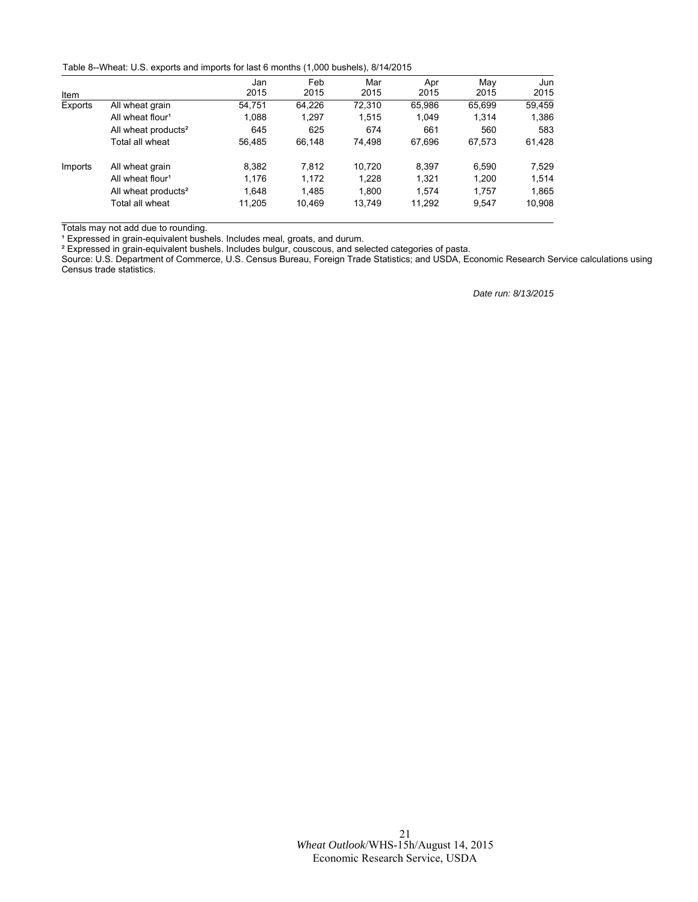Table 8--Wheat: U.S. exports and imports for last 6 months (1,000 bushels), 8/14/2015

|         |                                 | Jan    | Feb    | Mar    | Apr    | May    | Jun    |
|---------|---------------------------------|--------|--------|--------|--------|--------|--------|
| Item    |                                 | 2015   | 2015   | 2015   | 2015   | 2015   | 2015   |
| Exports | All wheat grain                 | 54.751 | 64.226 | 72,310 | 65.986 | 65.699 | 59,459 |
|         | All wheat flour <sup>1</sup>    | 1.088  | 1.297  | 1.515  | 1.049  | 1.314  | 1,386  |
|         | All wheat products <sup>2</sup> | 645    | 625    | 674    | 661    | 560    | 583    |
|         | Total all wheat                 | 56.485 | 66.148 | 74,498 | 67.696 | 67,573 | 61,428 |
| Imports | All wheat grain                 | 8.382  | 7.812  | 10.720 | 8.397  | 6.590  | 7.529  |
|         | All wheat flour <sup>1</sup>    | 1.176  | 1.172  | 1.228  | 1.321  | 1.200  | 1.514  |
|         | All wheat products <sup>2</sup> | 1.648  | 1.485  | 1.800  | 1.574  | 1.757  | 1,865  |
|         | Total all wheat                 | 11.205 | 10.469 | 13,749 | 11,292 | 9,547  | 10,908 |

Totals may not add due to rounding.

<sup>1</sup> Expressed in grain-equivalent bushels. Includes meal, groats, and durum.

 $\texttt{^{2}}$  Expressed in grain-equivalent bushels. Includes bulgur, couscous, and selected categories of pasta.

Source: U.S. Department of Commerce, U.S. Census Bureau, Foreign Trade Statistics; and USDA, Economic Research Service calculations using Census trade statistics.